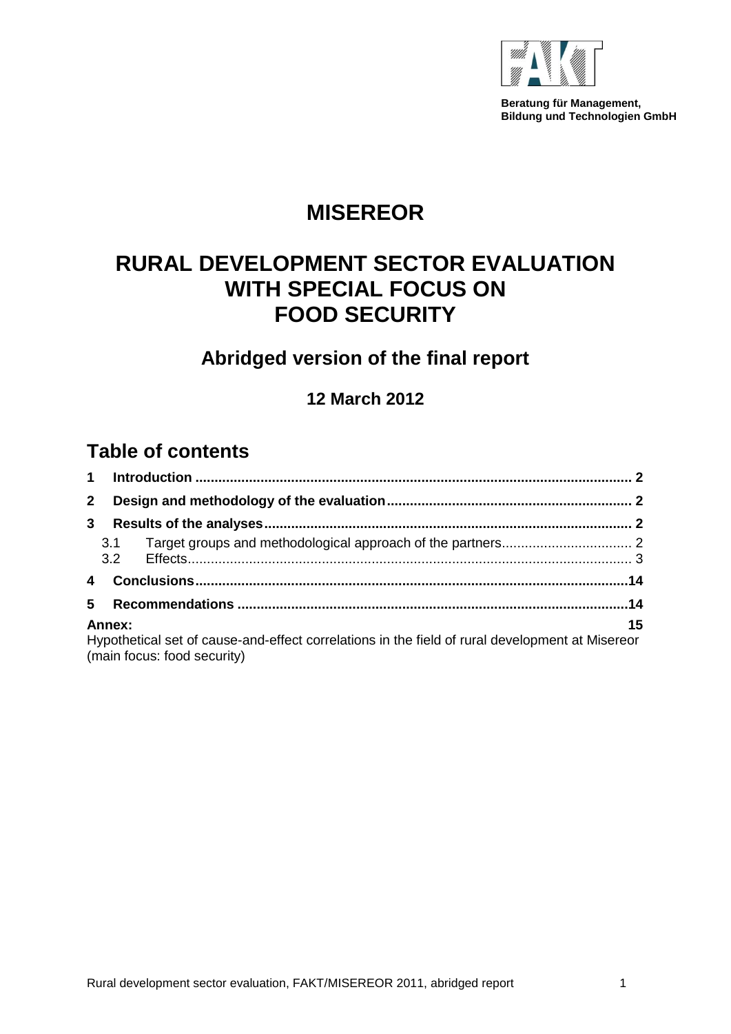

**Beratung für Management, Bildung und Technologien GmbH**

## **MISEREOR**

## **RURAL DEVELOPMENT SECTOR EVALUATION WITH SPECIAL FOCUS ON FOOD SECURITY**

## **Abridged version of the final report**

**12 March 2012**

## **Table of contents**

| $\mathbf 1$  |                                                                                                                                |    |
|--------------|--------------------------------------------------------------------------------------------------------------------------------|----|
| $\mathbf{2}$ |                                                                                                                                |    |
| 3            |                                                                                                                                |    |
|              | 3.1                                                                                                                            |    |
|              |                                                                                                                                |    |
|              |                                                                                                                                |    |
| 5            |                                                                                                                                |    |
|              | Annex:                                                                                                                         | 15 |
|              | Hypothetical set of cause-and-effect correlations in the field of rural development at Misereor<br>(main focus: food security) |    |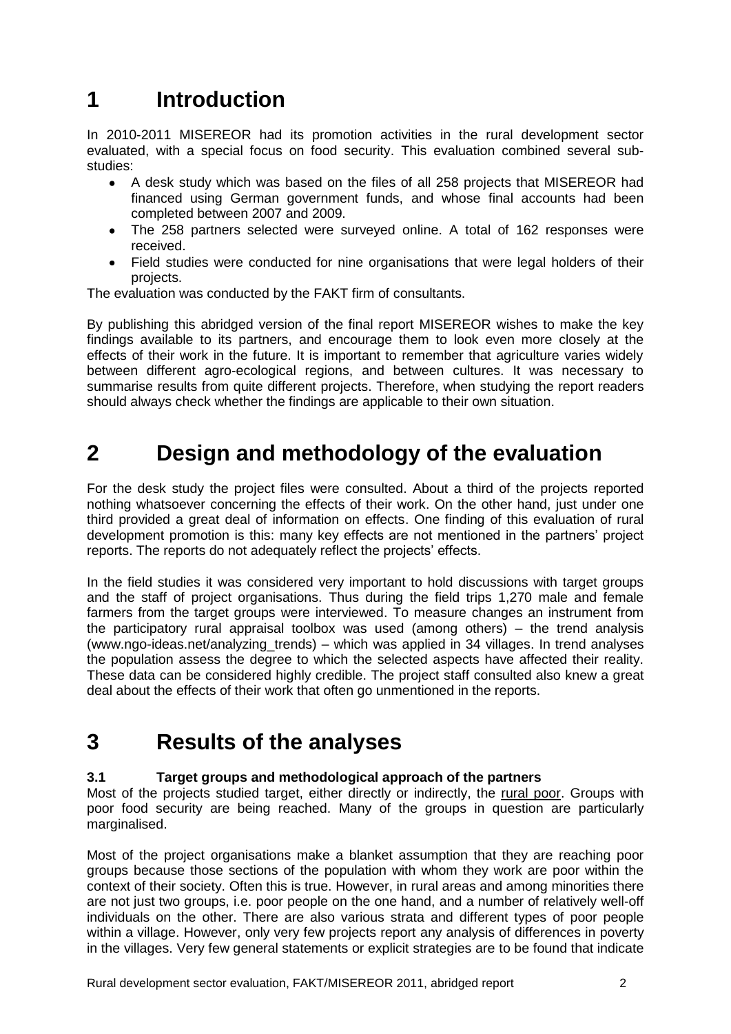# <span id="page-1-0"></span>**1 Introduction**

In 2010-2011 MISEREOR had its promotion activities in the rural development sector evaluated, with a special focus on food security. This evaluation combined several substudies:

- A desk study which was based on the files of all 258 projects that MISEREOR had financed using German government funds, and whose final accounts had been completed between 2007 and 2009.
- The 258 partners selected were surveyed online. A total of 162 responses were received.
- Field studies were conducted for nine organisations that were legal holders of their projects.

The evaluation was conducted by the FAKT firm of consultants.

By publishing this abridged version of the final report MISEREOR wishes to make the key findings available to its partners, and encourage them to look even more closely at the effects of their work in the future. It is important to remember that agriculture varies widely between different agro-ecological regions, and between cultures. It was necessary to summarise results from quite different projects. Therefore, when studying the report readers should always check whether the findings are applicable to their own situation.

## <span id="page-1-1"></span>**2 Design and methodology of the evaluation**

For the desk study the project files were consulted. About a third of the projects reported nothing whatsoever concerning the effects of their work. On the other hand, just under one third provided a great deal of information on effects. One finding of this evaluation of rural development promotion is this: many key effects are not mentioned in the partners' project reports. The reports do not adequately reflect the projects' effects.

In the field studies it was considered very important to hold discussions with target groups and the staff of project organisations. Thus during the field trips 1,270 male and female farmers from the target groups were interviewed. To measure changes an instrument from the participatory rural appraisal toolbox was used (among others) – the trend analysis [\(www.ngo-ideas.net/analyzing\\_trends\)](http://www.ngo-ideas.net/analyzing_trends) – which was applied in 34 villages. In trend analyses the population assess the degree to which the selected aspects have affected their reality. These data can be considered highly credible. The project staff consulted also knew a great deal about the effects of their work that often go unmentioned in the reports.

## <span id="page-1-2"></span>**3 Results of the analyses**

## <span id="page-1-3"></span>**3.1 Target groups and methodological approach of the partners**

Most of the projects studied target, either directly or indirectly, the rural poor. Groups with poor food security are being reached. Many of the groups in question are particularly marginalised.

Most of the project organisations make a blanket assumption that they are reaching poor groups because those sections of the population with whom they work are poor within the context of their society. Often this is true. However, in rural areas and among minorities there are not just two groups, i.e. poor people on the one hand, and a number of relatively well-off individuals on the other. There are also various strata and different types of poor people within a village. However, only very few projects report any analysis of differences in poverty in the villages. Very few general statements or explicit strategies are to be found that indicate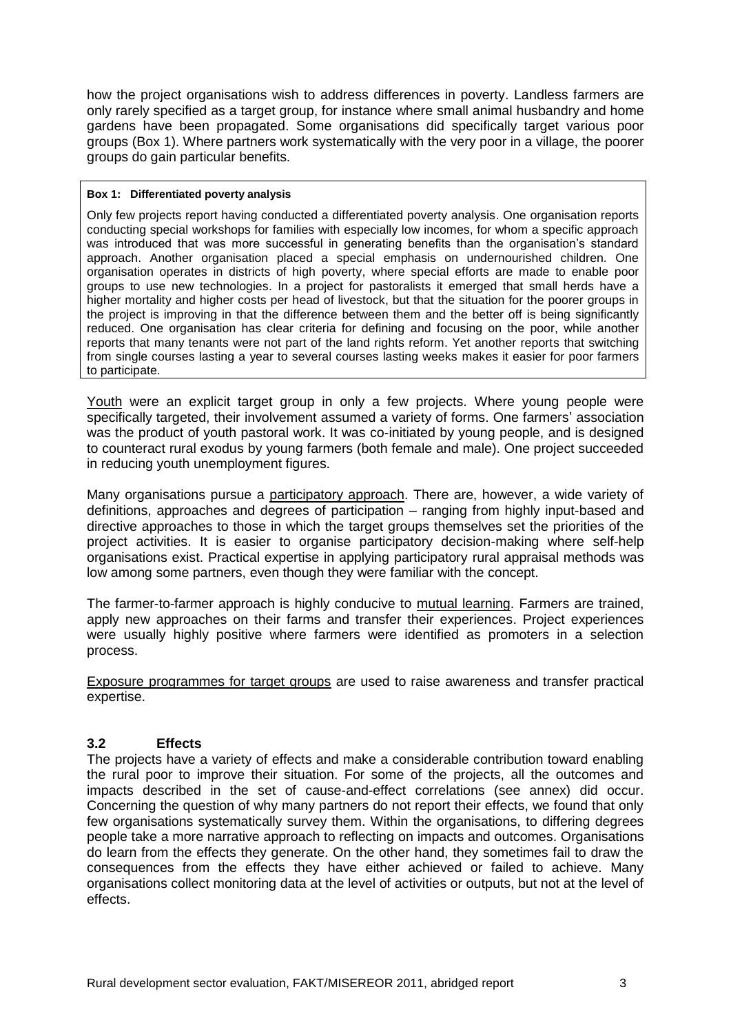how the project organisations wish to address differences in poverty. Landless farmers are only rarely specified as a target group, for instance where small animal husbandry and home gardens have been propagated. Some organisations did specifically target various poor groups (Box 1). Where partners work systematically with the very poor in a village, the poorer groups do gain particular benefits.

#### **Box 1: Differentiated poverty analysis**

Only few projects report having conducted a differentiated poverty analysis. One organisation reports conducting special workshops for families with especially low incomes, for whom a specific approach was introduced that was more successful in generating benefits than the organisation's standard approach. Another organisation placed a special emphasis on undernourished children. One organisation operates in districts of high poverty, where special efforts are made to enable poor groups to use new technologies. In a project for pastoralists it emerged that small herds have a higher mortality and higher costs per head of livestock, but that the situation for the poorer groups in the project is improving in that the difference between them and the better off is being significantly reduced. One organisation has clear criteria for defining and focusing on the poor, while another reports that many tenants were not part of the land rights reform. Yet another reports that switching from single courses lasting a year to several courses lasting weeks makes it easier for poor farmers to participate.

Youth were an explicit target group in only a few projects. Where young people were specifically targeted, their involvement assumed a variety of forms. One farmers' association was the product of youth pastoral work. It was co-initiated by young people, and is designed to counteract rural exodus by young farmers (both female and male). One project succeeded in reducing youth unemployment figures.

Many organisations pursue a participatory approach. There are, however, a wide variety of definitions, approaches and degrees of participation – ranging from highly input-based and directive approaches to those in which the target groups themselves set the priorities of the project activities. It is easier to organise participatory decision-making where self-help organisations exist. Practical expertise in applying participatory rural appraisal methods was low among some partners, even though they were familiar with the concept.

The farmer-to-farmer approach is highly conducive to mutual learning. Farmers are trained, apply new approaches on their farms and transfer their experiences. Project experiences were usually highly positive where farmers were identified as promoters in a selection process.

Exposure programmes for target groups are used to raise awareness and transfer practical expertise.

## <span id="page-2-0"></span>**3.2 Effects**

The projects have a variety of effects and make a considerable contribution toward enabling the rural poor to improve their situation. For some of the projects, all the outcomes and impacts described in the set of cause-and-effect correlations (see annex) did occur. Concerning the question of why many partners do not report their effects, we found that only few organisations systematically survey them. Within the organisations, to differing degrees people take a more narrative approach to reflecting on impacts and outcomes. Organisations do learn from the effects they generate. On the other hand, they sometimes fail to draw the consequences from the effects they have either achieved or failed to achieve. Many organisations collect monitoring data at the level of activities or outputs, but not at the level of effects.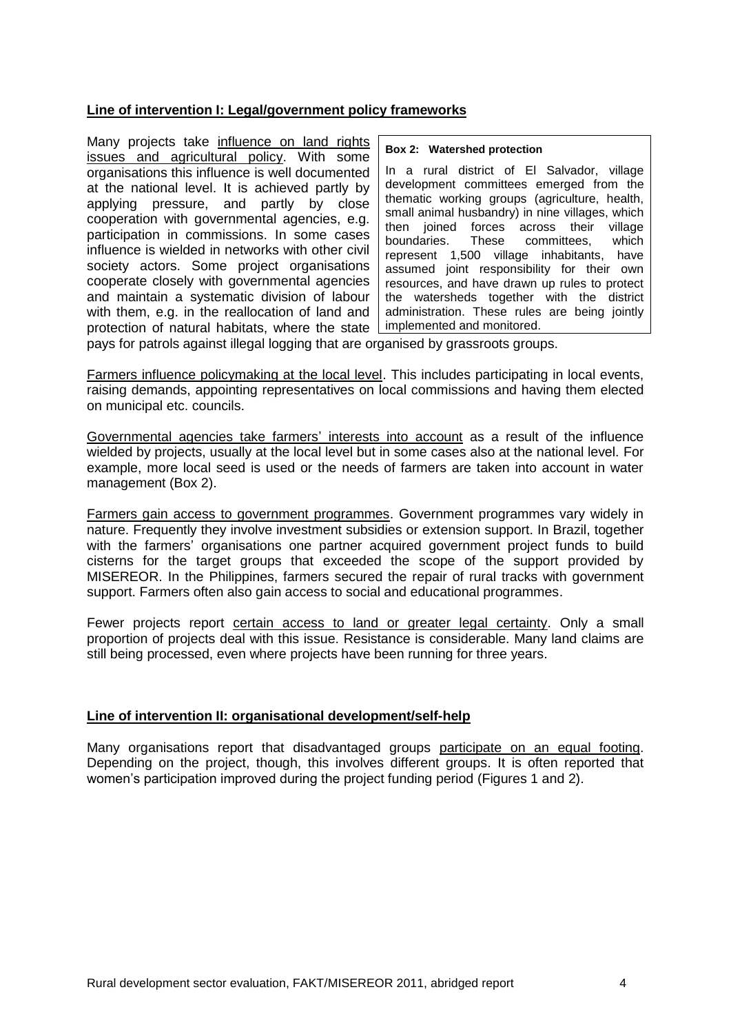## **Line of intervention I: Legal/government policy frameworks**

Many projects take influence on land rights issues and agricultural policy. With some organisations this influence is well documented at the national level. It is achieved partly by applying pressure, and partly by close cooperation with governmental agencies, e.g. participation in commissions. In some cases influence is wielded in networks with other civil society actors. Some project organisations cooperate closely with governmental agencies and maintain a systematic division of labour with them, e.g. in the reallocation of land and protection of natural habitats, where the state

#### **Box 2: Watershed protection**

In a rural district of El Salvador, village development committees emerged from the thematic working groups (agriculture, health, small animal husbandry) in nine villages, which then joined forces across their village boundaries. These committees, which represent 1,500 village inhabitants, have assumed joint responsibility for their own resources, and have drawn up rules to protect the watersheds together with the district administration. These rules are being jointly implemented and monitored.

pays for patrols against illegal logging that are organised by grassroots groups.

Farmers influence policymaking at the local level. This includes participating in local events, raising demands, appointing representatives on local commissions and having them elected on municipal etc. councils.

Governmental agencies take farmers' interests into account as a result of the influence wielded by projects, usually at the local level but in some cases also at the national level. For example, more local seed is used or the needs of farmers are taken into account in water management (Box 2).

Farmers gain access to government programmes. Government programmes vary widely in nature. Frequently they involve investment subsidies or extension support. In Brazil, together with the farmers' organisations one partner acquired government project funds to build cisterns for the target groups that exceeded the scope of the support provided by MISEREOR. In the Philippines, farmers secured the repair of rural tracks with government support. Farmers often also gain access to social and educational programmes.

Fewer projects report certain access to land or greater legal certainty. Only a small proportion of projects deal with this issue. Resistance is considerable. Many land claims are still being processed, even where projects have been running for three years.

## **Line of intervention II: organisational development/self-help**

Many organisations report that disadvantaged groups participate on an equal footing. Depending on the project, though, this involves different groups. It is often reported that women's participation improved during the project funding period (Figures 1 and 2).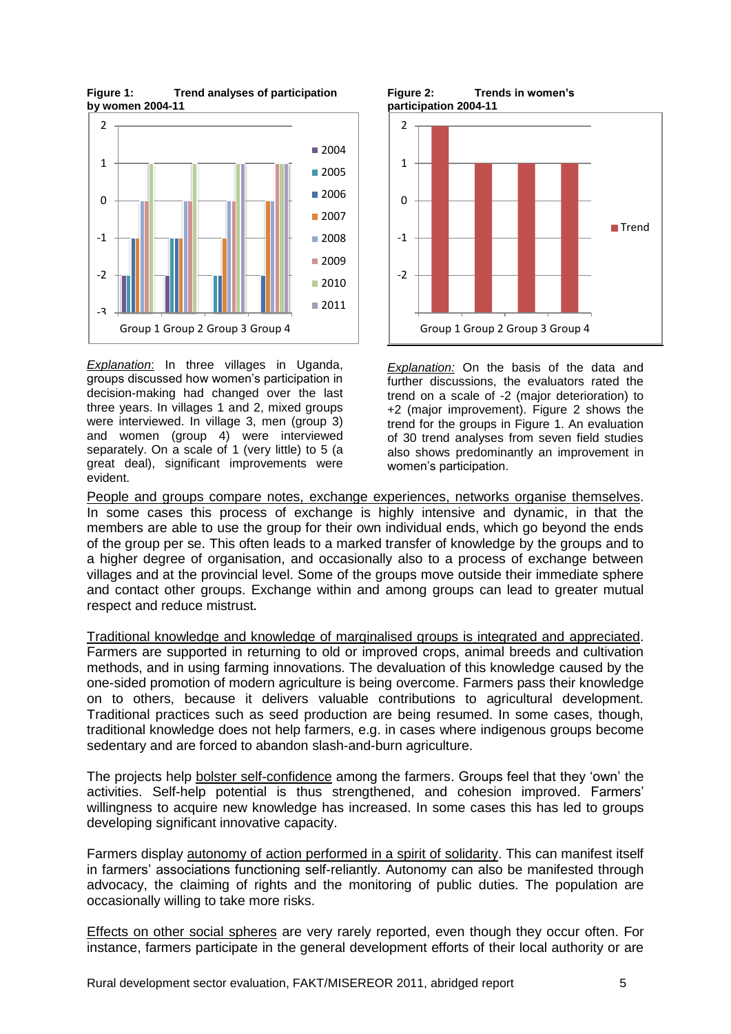**Figure 1: Trend analyses of participation by women 2004-11**



*Explanation*: In three villages in Uganda, groups discussed how women's participation in decision-making had changed over the last three years. In villages 1 and 2, mixed groups were interviewed. In village 3, men (group 3) and women (group 4) were interviewed separately. On a scale of 1 (very little) to 5 (a great deal), significant improvements were evident.

**Figure 2: Trends in women's participation 2004-11**



*Explanation:* On the basis of the data and further discussions, the evaluators rated the trend on a scale of -2 (major deterioration) to +2 (major improvement). Figure 2 shows the trend for the groups in Figure 1. An evaluation of 30 trend analyses from seven field studies also shows predominantly an improvement in women's participation.

People and groups compare notes, exchange experiences, networks organise themselves. In some cases this process of exchange is highly intensive and dynamic, in that the members are able to use the group for their own individual ends, which go beyond the ends of the group per se. This often leads to a marked transfer of knowledge by the groups and to a higher degree of organisation, and occasionally also to a process of exchange between villages and at the provincial level. Some of the groups move outside their immediate sphere and contact other groups. Exchange within and among groups can lead to greater mutual respect and reduce mistrust**.**

Traditional knowledge and knowledge of marginalised groups is integrated and appreciated. Farmers are supported in returning to old or improved crops, animal breeds and cultivation methods, and in using farming innovations. The devaluation of this knowledge caused by the one-sided promotion of modern agriculture is being overcome. Farmers pass their knowledge on to others, because it delivers valuable contributions to agricultural development. Traditional practices such as seed production are being resumed. In some cases, though, traditional knowledge does not help farmers, e.g. in cases where indigenous groups become sedentary and are forced to abandon slash-and-burn agriculture.

The projects help bolster self-confidence among the farmers. Groups feel that they 'own' the activities. Self-help potential is thus strengthened, and cohesion improved. Farmers' willingness to acquire new knowledge has increased. In some cases this has led to groups developing significant innovative capacity.

Farmers display autonomy of action performed in a spirit of solidarity. This can manifest itself in farmers' associations functioning self-reliantly. Autonomy can also be manifested through advocacy, the claiming of rights and the monitoring of public duties. The population are occasionally willing to take more risks.

Effects on other social spheres are very rarely reported, even though they occur often. For instance, farmers participate in the general development efforts of their local authority or are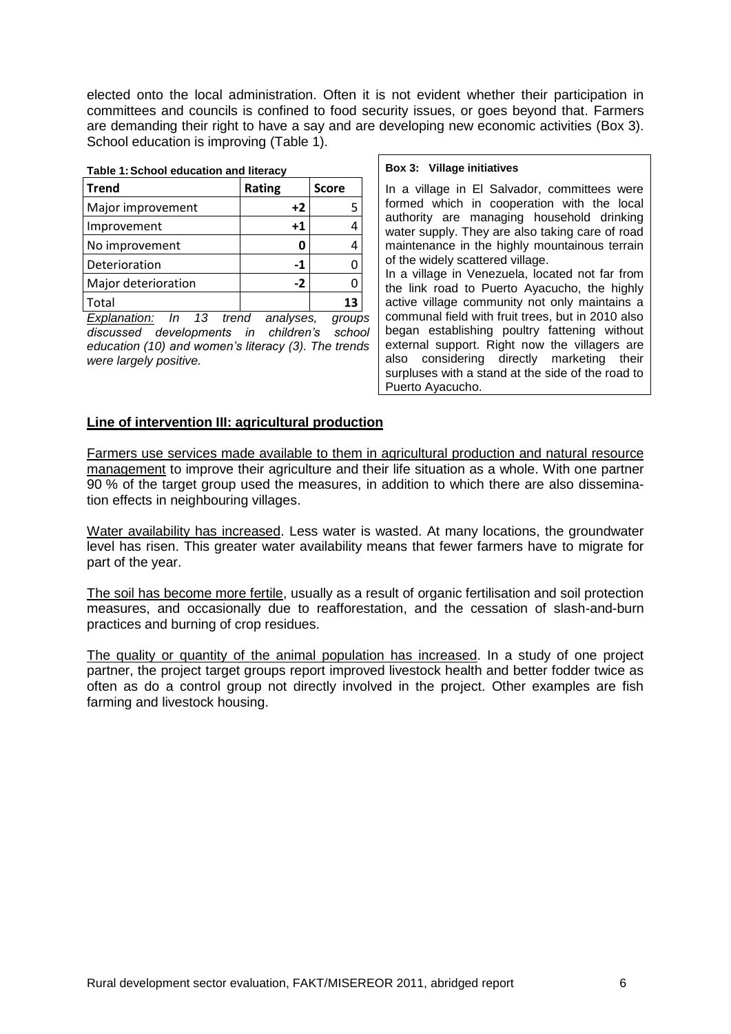elected onto the local administration. Often it is not evident whether their participation in committees and councils is confined to food security issues, or goes beyond that. Farmers are demanding their right to have a say and are developing new economic activities (Box 3). School education is improving (Table 1).

#### **Table 1:School education and literacy**

| <b>Trend</b>        | Rating      | <b>Score</b> |
|---------------------|-------------|--------------|
| Major improvement   | $+2$        |              |
| Improvement         | $^{\bf +1}$ |              |
| No improvement      |             |              |
| Deterioration       | -1          |              |
| Major deterioration | $-2$        |              |
| Total               |             |              |

*Explanation: In 13 trend analyses, groups discussed developments in children's school education (10) and women's literacy (3). The trends were largely positive.*

#### **Box 3: Village initiatives**

In a village in El Salvador, committees were formed which in cooperation with the local authority are managing household drinking water supply. They are also taking care of road maintenance in the highly mountainous terrain of the widely scattered village.

In a village in Venezuela, located not far from the link road to Puerto Ayacucho, the highly active village community not only maintains a communal field with fruit trees, but in 2010 also began establishing poultry fattening without external support. Right now the villagers are also considering directly marketing their surpluses with a stand at the side of the road to Puerto Ayacucho.

### **Line of intervention III: agricultural production**

Farmers use services made available to them in agricultural production and natural resource management to improve their agriculture and their life situation as a whole. With one partner 90 % of the target group used the measures, in addition to which there are also dissemination effects in neighbouring villages.

Water availability has increased. Less water is wasted. At many locations, the groundwater level has risen. This greater water availability means that fewer farmers have to migrate for part of the year.

The soil has become more fertile, usually as a result of organic fertilisation and soil protection measures, and occasionally due to reafforestation, and the cessation of slash-and-burn practices and burning of crop residues.

The quality or quantity of the animal population has increased. In a study of one project partner, the project target groups report improved livestock health and better fodder twice as often as do a control group not directly involved in the project. Other examples are fish farming and livestock housing.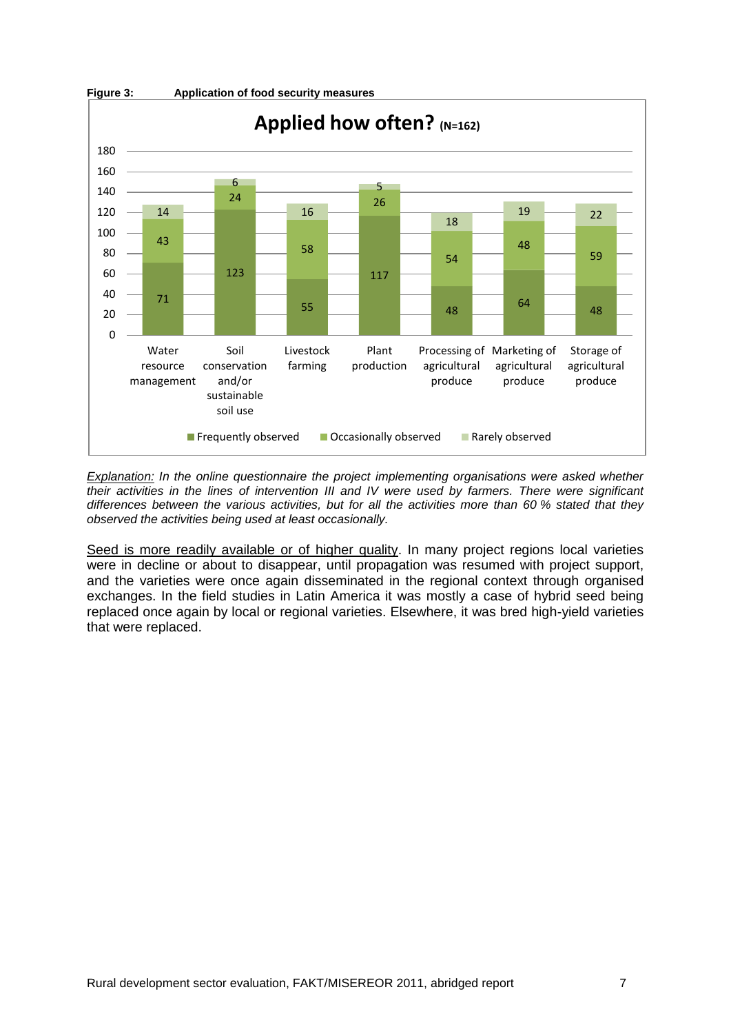

*Explanation: In the online questionnaire the project implementing organisations were asked whether their activities in the lines of intervention III and IV were used by farmers. There were significant differences between the various activities, but for all the activities more than 60 % stated that they observed the activities being used at least occasionally.*

Seed is more readily available or of higher quality. In many project regions local varieties were in decline or about to disappear, until propagation was resumed with project support, and the varieties were once again disseminated in the regional context through organised exchanges. In the field studies in Latin America it was mostly a case of hybrid seed being replaced once again by local or regional varieties. Elsewhere, it was bred high-yield varieties that were replaced.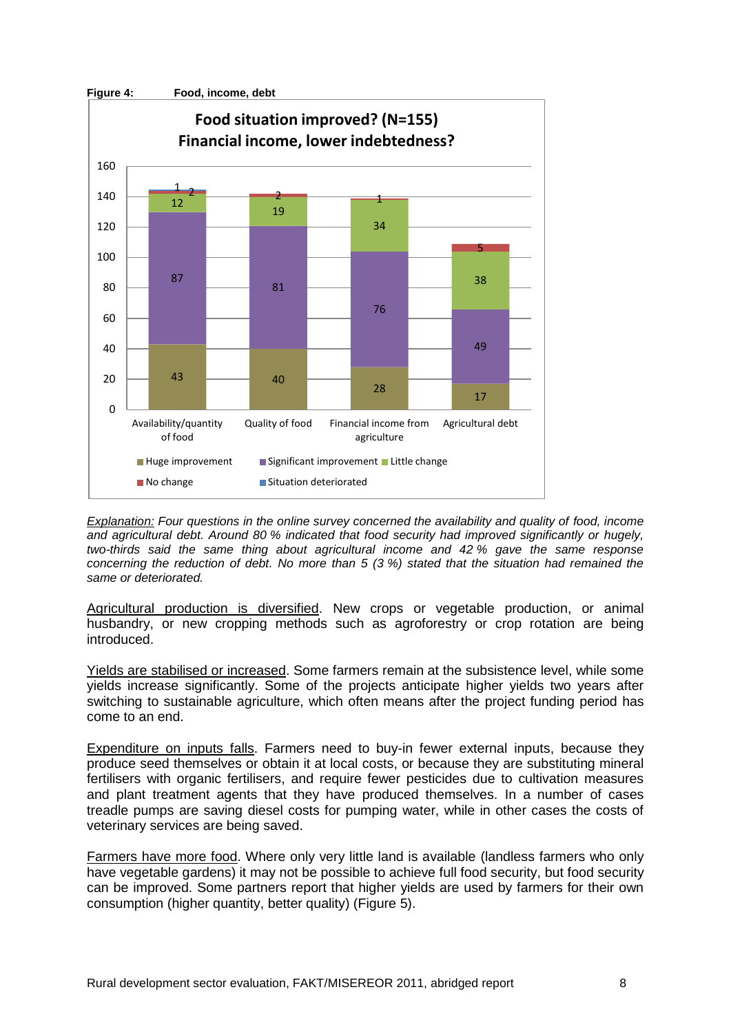

*Explanation: Four questions in the online survey concerned the availability and quality of food, income and agricultural debt. Around 80 % indicated that food security had improved significantly or hugely, two-thirds said the same thing about agricultural income and 42 % gave the same response concerning the reduction of debt. No more than 5 (3 %) stated that the situation had remained the same or deteriorated.*

Agricultural production is diversified. New crops or vegetable production, or animal husbandry, or new cropping methods such as agroforestry or crop rotation are being introduced.

Yields are stabilised or increased. Some farmers remain at the subsistence level, while some yields increase significantly. Some of the projects anticipate higher yields two years after switching to sustainable agriculture, which often means after the project funding period has come to an end.

Expenditure on inputs falls. Farmers need to buy-in fewer external inputs, because they produce seed themselves or obtain it at local costs, or because they are substituting mineral fertilisers with organic fertilisers, and require fewer pesticides due to cultivation measures and plant treatment agents that they have produced themselves. In a number of cases treadle pumps are saving diesel costs for pumping water, while in other cases the costs of veterinary services are being saved.

Farmers have more food. Where only very little land is available (landless farmers who only have vegetable gardens) it may not be possible to achieve full food security, but food security can be improved. Some partners report that higher yields are used by farmers for their own consumption (higher quantity, better quality) (Figure 5).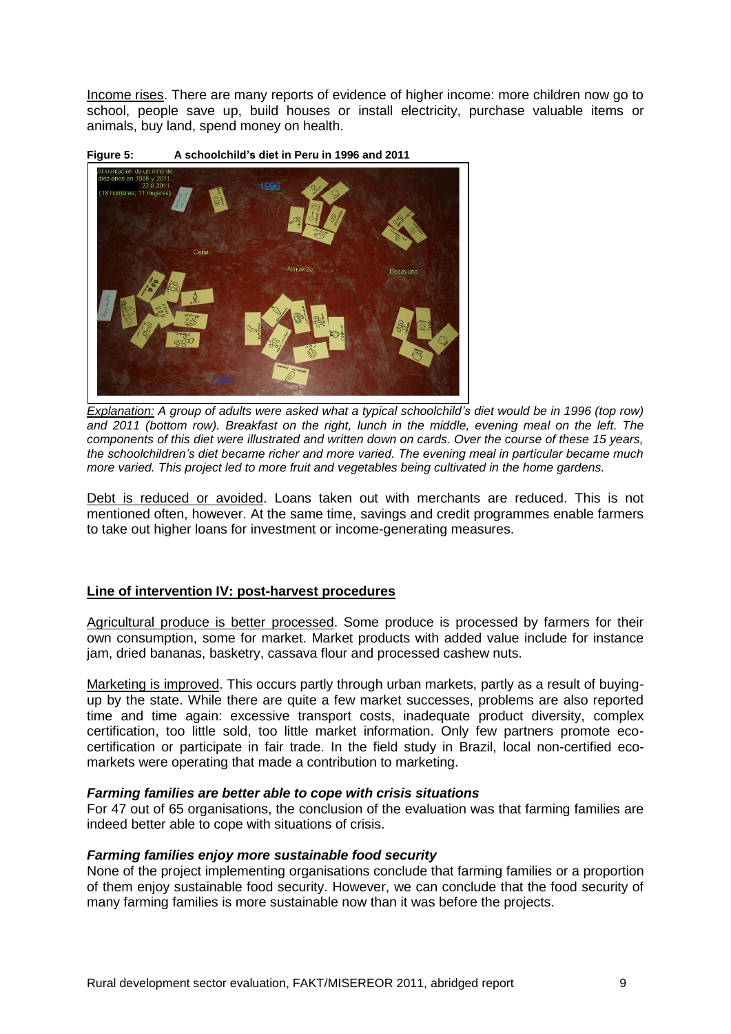Income rises. There are many reports of evidence of higher income: more children now go to school, people save up, build houses or install electricity, purchase valuable items or animals, buy land, spend money on health.



**Figure 5: A schoolchild's diet in Peru in 1996 and 2011**

*Explanation: A group of adults were asked what a typical schoolchild's diet would be in 1996 (top row) and 2011 (bottom row). Breakfast on the right, lunch in the middle, evening meal on the left. The components of this diet were illustrated and written down on cards. Over the course of these 15 years, the schoolchildren's diet became richer and more varied. The evening meal in particular became much more varied. This project led to more fruit and vegetables being cultivated in the home gardens.*

Debt is reduced or avoided. Loans taken out with merchants are reduced. This is not mentioned often, however. At the same time, savings and credit programmes enable farmers to take out higher loans for investment or income-generating measures.

## **Line of intervention IV: post-harvest procedures**

Agricultural produce is better processed. Some produce is processed by farmers for their own consumption, some for market. Market products with added value include for instance jam, dried bananas, basketry, cassava flour and processed cashew nuts.

Marketing is improved. This occurs partly through urban markets, partly as a result of buyingup by the state. While there are quite a few market successes, problems are also reported time and time again: excessive transport costs, inadequate product diversity, complex certification, too little sold, too little market information. Only few partners promote ecocertification or participate in fair trade. In the field study in Brazil, local non-certified ecomarkets were operating that made a contribution to marketing.

#### *Farming families are better able to cope with crisis situations*

For 47 out of 65 organisations, the conclusion of the evaluation was that farming families are indeed better able to cope with situations of crisis.

#### *Farming families enjoy more sustainable food security*

None of the project implementing organisations conclude that farming families or a proportion of them enjoy sustainable food security. However, we can conclude that the food security of many farming families is more sustainable now than it was before the projects.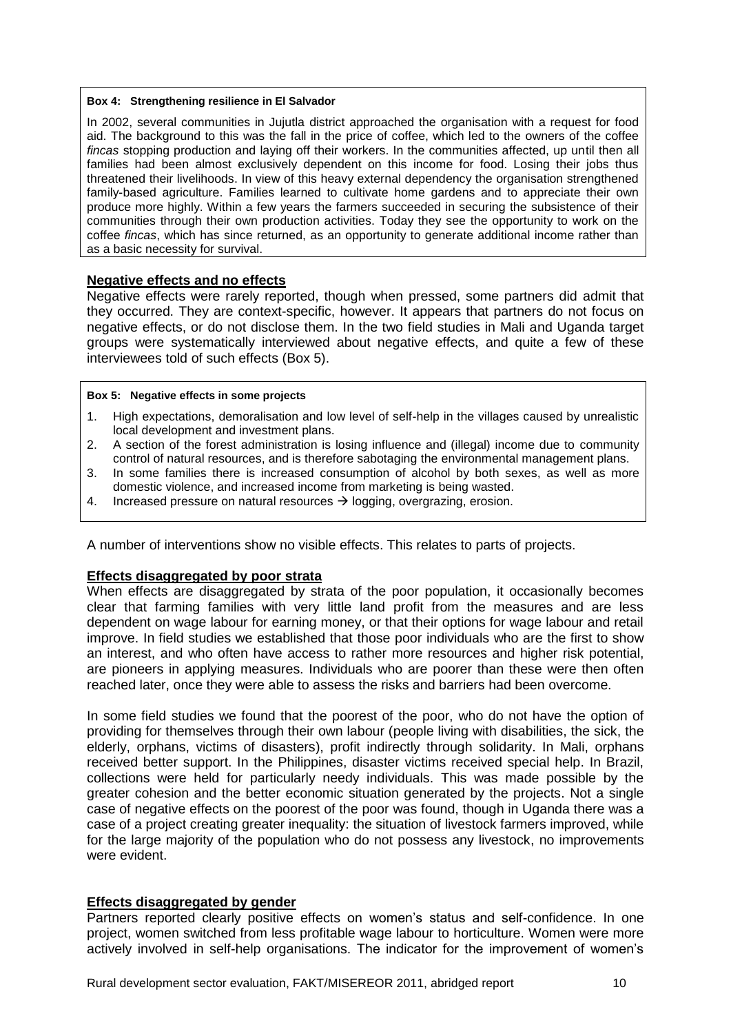#### **Box 4: Strengthening resilience in El Salvador**

In 2002, several communities in Jujutla district approached the organisation with a request for food aid. The background to this was the fall in the price of coffee, which led to the owners of the coffee *fincas* stopping production and laying off their workers. In the communities affected, up until then all families had been almost exclusively dependent on this income for food. Losing their jobs thus threatened their livelihoods. In view of this heavy external dependency the organisation strengthened family-based agriculture. Families learned to cultivate home gardens and to appreciate their own produce more highly. Within a few years the farmers succeeded in securing the subsistence of their communities through their own production activities. Today they see the opportunity to work on the coffee *fincas*, which has since returned, as an opportunity to generate additional income rather than as a basic necessity for survival.

### **Negative effects and no effects**

Negative effects were rarely reported, though when pressed, some partners did admit that they occurred. They are context-specific, however. It appears that partners do not focus on negative effects, or do not disclose them. In the two field studies in Mali and Uganda target groups were systematically interviewed about negative effects, and quite a few of these interviewees told of such effects (Box 5).

#### **Box 5: Negative effects in some projects**

- 1. High expectations, demoralisation and low level of self-help in the villages caused by unrealistic local development and investment plans.
- 2. A section of the forest administration is losing influence and (illegal) income due to community control of natural resources, and is therefore sabotaging the environmental management plans.
- 3. In some families there is increased consumption of alcohol by both sexes, as well as more domestic violence, and increased income from marketing is being wasted.
- 4. Increased pressure on natural resources  $\rightarrow$  logging, overgrazing, erosion.

A number of interventions show no visible effects. This relates to parts of projects.

## **Effects disaggregated by poor strata**

When effects are disaggregated by strata of the poor population, it occasionally becomes clear that farming families with very little land profit from the measures and are less dependent on wage labour for earning money, or that their options for wage labour and retail improve. In field studies we established that those poor individuals who are the first to show an interest, and who often have access to rather more resources and higher risk potential, are pioneers in applying measures. Individuals who are poorer than these were then often reached later, once they were able to assess the risks and barriers had been overcome.

In some field studies we found that the poorest of the poor, who do not have the option of providing for themselves through their own labour (people living with disabilities, the sick, the elderly, orphans, victims of disasters), profit indirectly through solidarity. In Mali, orphans received better support. In the Philippines, disaster victims received special help. In Brazil, collections were held for particularly needy individuals. This was made possible by the greater cohesion and the better economic situation generated by the projects. Not a single case of negative effects on the poorest of the poor was found, though in Uganda there was a case of a project creating greater inequality: the situation of livestock farmers improved, while for the large majority of the population who do not possess any livestock, no improvements were evident

#### **Effects disaggregated by gender**

Partners reported clearly positive effects on women's status and self-confidence. In one project, women switched from less profitable wage labour to horticulture. Women were more actively involved in self-help organisations. The indicator for the improvement of women's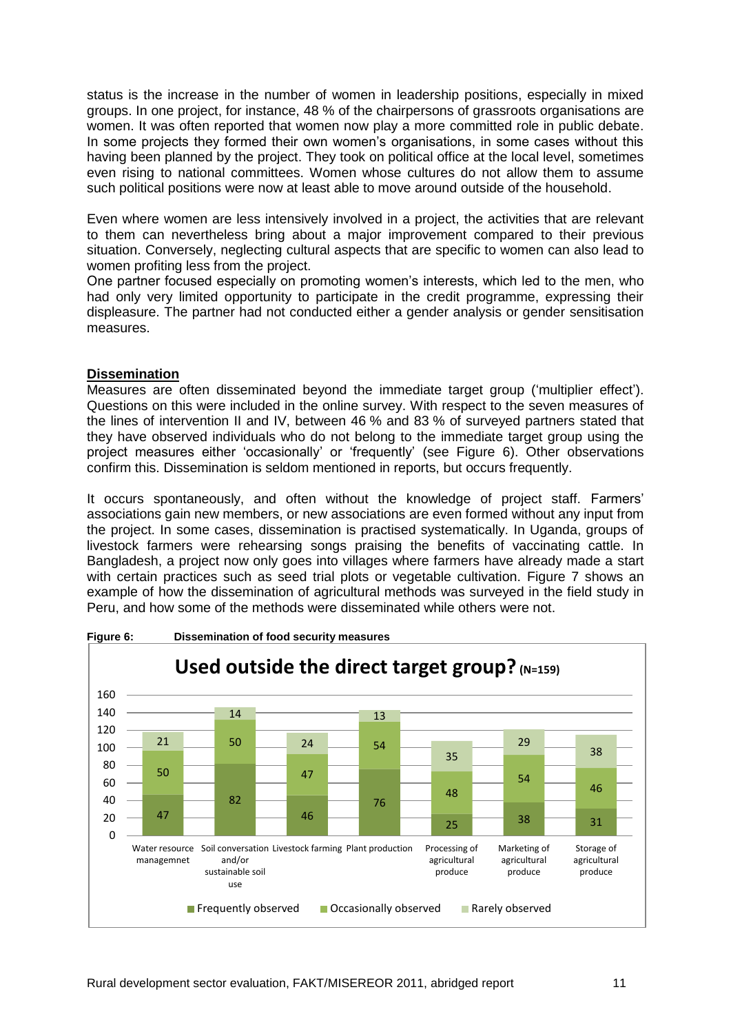status is the increase in the number of women in leadership positions, especially in mixed groups. In one project, for instance, 48 % of the chairpersons of grassroots organisations are women. It was often reported that women now play a more committed role in public debate. In some projects they formed their own women's organisations, in some cases without this having been planned by the project. They took on political office at the local level, sometimes even rising to national committees. Women whose cultures do not allow them to assume such political positions were now at least able to move around outside of the household.

Even where women are less intensively involved in a project, the activities that are relevant to them can nevertheless bring about a major improvement compared to their previous situation. Conversely, neglecting cultural aspects that are specific to women can also lead to women profiting less from the project.

One partner focused especially on promoting women's interests, which led to the men, who had only very limited opportunity to participate in the credit programme, expressing their displeasure. The partner had not conducted either a gender analysis or gender sensitisation measures.

## **Dissemination**

Measures are often disseminated beyond the immediate target group ('multiplier effect'). Questions on this were included in the online survey. With respect to the seven measures of the lines of intervention II and IV, between 46 % and 83 % of surveyed partners stated that they have observed individuals who do not belong to the immediate target group using the project measures either 'occasionally' or 'frequently' (see Figure 6). Other observations confirm this. Dissemination is seldom mentioned in reports, but occurs frequently.

It occurs spontaneously, and often without the knowledge of project staff. Farmers' associations gain new members, or new associations are even formed without any input from the project. In some cases, dissemination is practised systematically. In Uganda, groups of livestock farmers were rehearsing songs praising the benefits of vaccinating cattle. In Bangladesh, a project now only goes into villages where farmers have already made a start with certain practices such as seed trial plots or vegetable cultivation. Figure 7 shows an example of how the dissemination of agricultural methods was surveyed in the field study in Peru, and how some of the methods were disseminated while others were not.



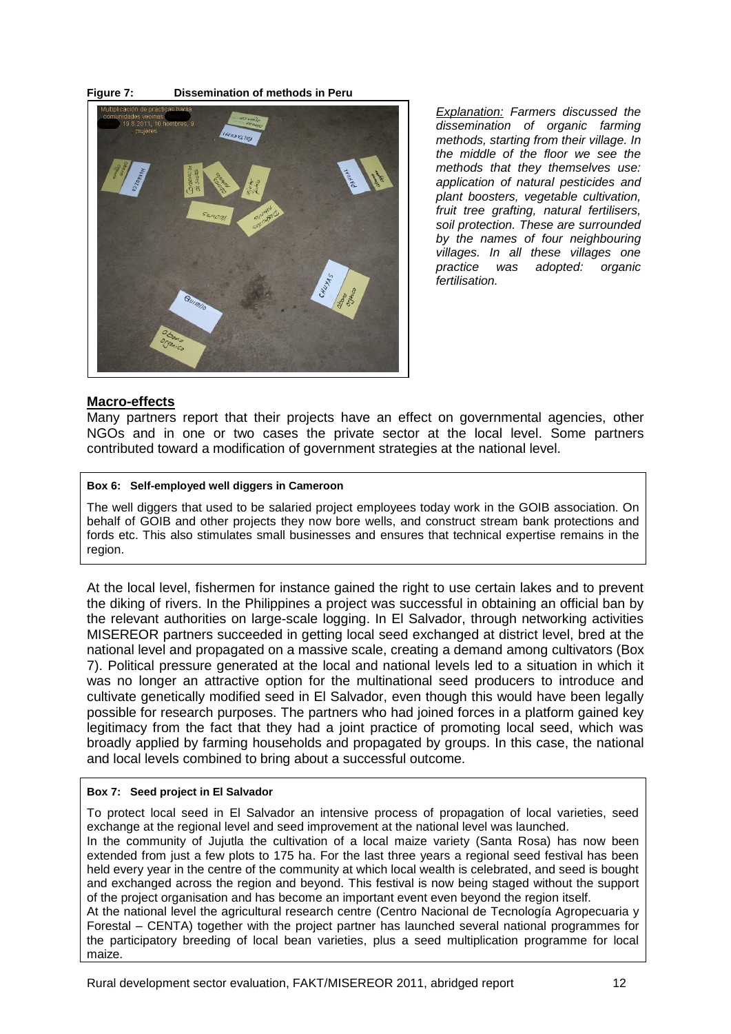



*Explanation: Farmers discussed the dissemination of organic farming methods, starting from their village. In the middle of the floor we see the methods that they themselves use: application of natural pesticides and plant boosters, vegetable cultivation, fruit tree grafting, natural fertilisers, soil protection. These are surrounded by the names of four neighbouring villages. In all these villages one practice was adopted: organic fertilisation.*

### **Macro-effects**

Many partners report that their projects have an effect on governmental agencies, other NGOs and in one or two cases the private sector at the local level. Some partners contributed toward a modification of government strategies at the national level.

#### **Box 6: Self-employed well diggers in Cameroon**

The well diggers that used to be salaried project employees today work in the GOIB association. On behalf of GOIB and other projects they now bore wells, and construct stream bank protections and fords etc. This also stimulates small businesses and ensures that technical expertise remains in the region.

At the local level, fishermen for instance gained the right to use certain lakes and to prevent the diking of rivers. In the Philippines a project was successful in obtaining an official ban by the relevant authorities on large-scale logging. In El Salvador, through networking activities MISEREOR partners succeeded in getting local seed exchanged at district level, bred at the national level and propagated on a massive scale, creating a demand among cultivators (Box 7). Political pressure generated at the local and national levels led to a situation in which it was no longer an attractive option for the multinational seed producers to introduce and cultivate genetically modified seed in El Salvador, even though this would have been legally possible for research purposes. The partners who had joined forces in a platform gained key legitimacy from the fact that they had a joint practice of promoting local seed, which was broadly applied by farming households and propagated by groups. In this case, the national and local levels combined to bring about a successful outcome.

#### **Box 7: Seed project in El Salvador**

To protect local seed in El Salvador an intensive process of propagation of local varieties, seed exchange at the regional level and seed improvement at the national level was launched. In the community of Jujutla the cultivation of a local maize variety (Santa Rosa) has now been extended from just a few plots to 175 ha. For the last three years a regional seed festival has been held every year in the centre of the community at which local wealth is celebrated, and seed is bought and exchanged across the region and beyond. This festival is now being staged without the support of the project organisation and has become an important event even beyond the region itself. At the national level the agricultural research centre (Centro Nacional de Tecnología Agropecuaria y Forestal – CENTA) together with the project partner has launched several national programmes for the participatory breeding of local bean varieties, plus a seed multiplication programme for local maize.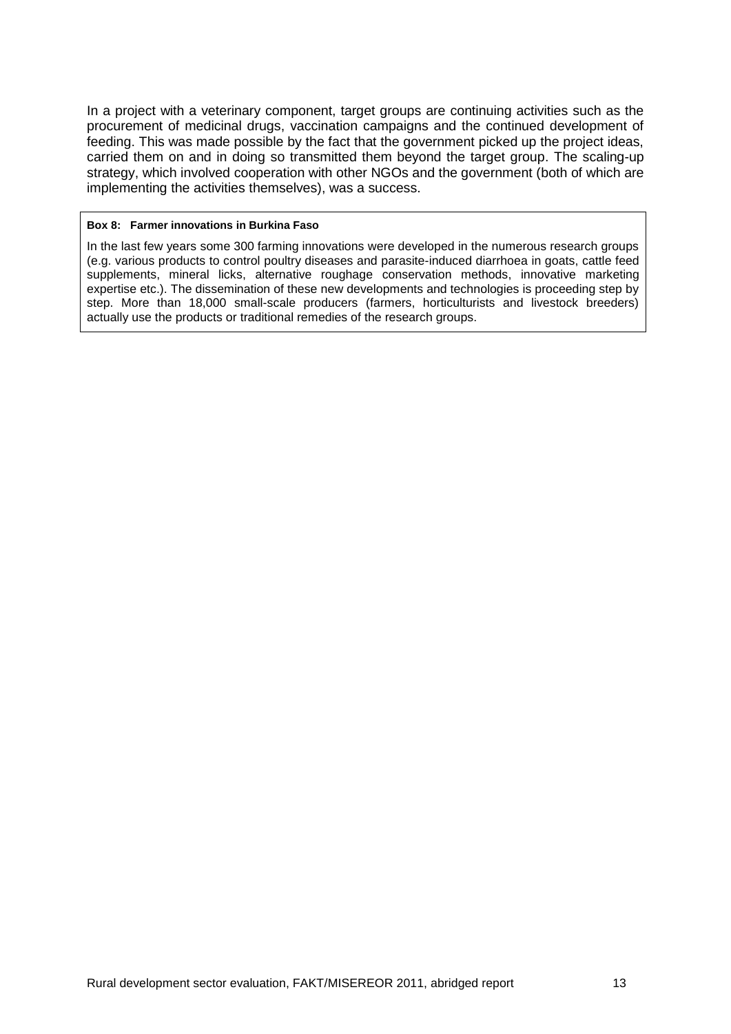In a project with a veterinary component, target groups are continuing activities such as the procurement of medicinal drugs, vaccination campaigns and the continued development of feeding. This was made possible by the fact that the government picked up the project ideas, carried them on and in doing so transmitted them beyond the target group. The scaling-up strategy, which involved cooperation with other NGOs and the government (both of which are implementing the activities themselves), was a success.

#### **Box 8: Farmer innovations in Burkina Faso**

In the last few years some 300 farming innovations were developed in the numerous research groups (e.g. various products to control poultry diseases and parasite-induced diarrhoea in goats, cattle feed supplements, mineral licks, alternative roughage conservation methods, innovative marketing expertise etc.). The dissemination of these new developments and technologies is proceeding step by step. More than 18,000 small-scale producers (farmers, horticulturists and livestock breeders) actually use the products or traditional remedies of the research groups.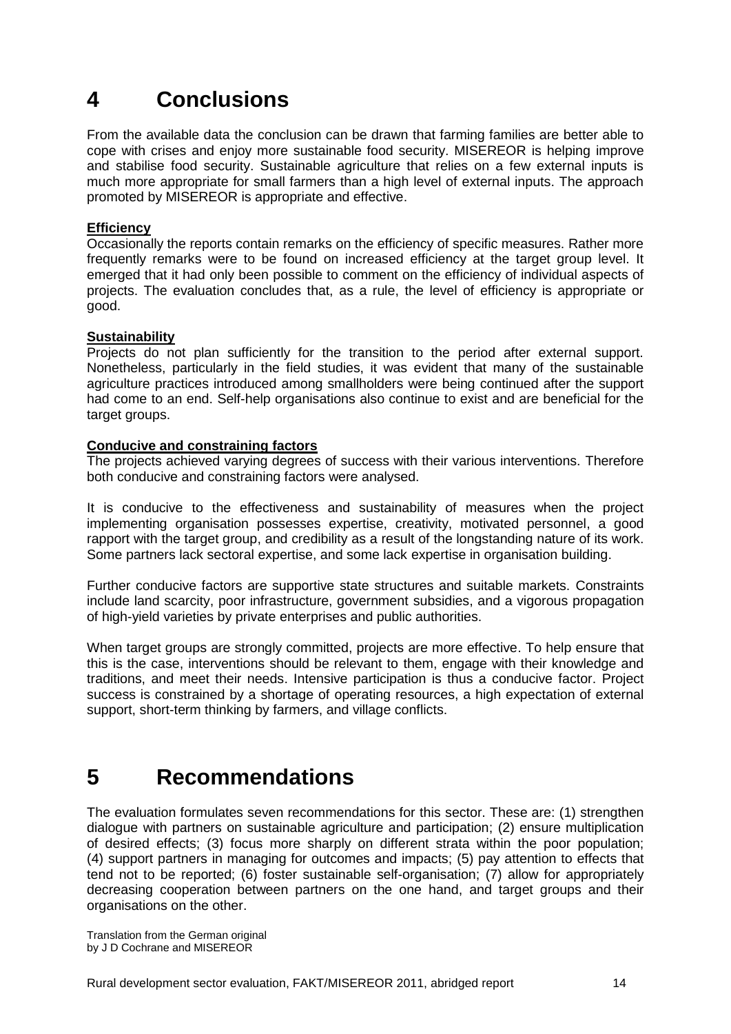## <span id="page-13-0"></span>**4 Conclusions**

From the available data the conclusion can be drawn that farming families are better able to cope with crises and enjoy more sustainable food security. MISEREOR is helping improve and stabilise food security. Sustainable agriculture that relies on a few external inputs is much more appropriate for small farmers than a high level of external inputs. The approach promoted by MISEREOR is appropriate and effective.

## **Efficiency**

Occasionally the reports contain remarks on the efficiency of specific measures. Rather more frequently remarks were to be found on increased efficiency at the target group level. It emerged that it had only been possible to comment on the efficiency of individual aspects of projects. The evaluation concludes that, as a rule, the level of efficiency is appropriate or good.

## **Sustainability**

Projects do not plan sufficiently for the transition to the period after external support. Nonetheless, particularly in the field studies, it was evident that many of the sustainable agriculture practices introduced among smallholders were being continued after the support had come to an end. Self-help organisations also continue to exist and are beneficial for the target groups.

## **Conducive and constraining factors**

The projects achieved varying degrees of success with their various interventions. Therefore both conducive and constraining factors were analysed.

It is conducive to the effectiveness and sustainability of measures when the project implementing organisation possesses expertise, creativity, motivated personnel, a good rapport with the target group, and credibility as a result of the longstanding nature of its work. Some partners lack sectoral expertise, and some lack expertise in organisation building.

Further conducive factors are supportive state structures and suitable markets. Constraints include land scarcity, poor infrastructure, government subsidies, and a vigorous propagation of high-yield varieties by private enterprises and public authorities.

When target groups are strongly committed, projects are more effective. To help ensure that this is the case, interventions should be relevant to them, engage with their knowledge and traditions, and meet their needs. Intensive participation is thus a conducive factor. Project success is constrained by a shortage of operating resources, a high expectation of external support, short-term thinking by farmers, and village conflicts.

## <span id="page-13-1"></span>**5 Recommendations**

The evaluation formulates seven recommendations for this sector. These are: (1) strengthen dialogue with partners on sustainable agriculture and participation; (2) ensure multiplication of desired effects; (3) focus more sharply on different strata within the poor population; (4) support partners in managing for outcomes and impacts; (5) pay attention to effects that tend not to be reported; (6) foster sustainable self-organisation; (7) allow for appropriately decreasing cooperation between partners on the one hand, and target groups and their organisations on the other.

Translation from the German original by J D Cochrane and MISEREOR